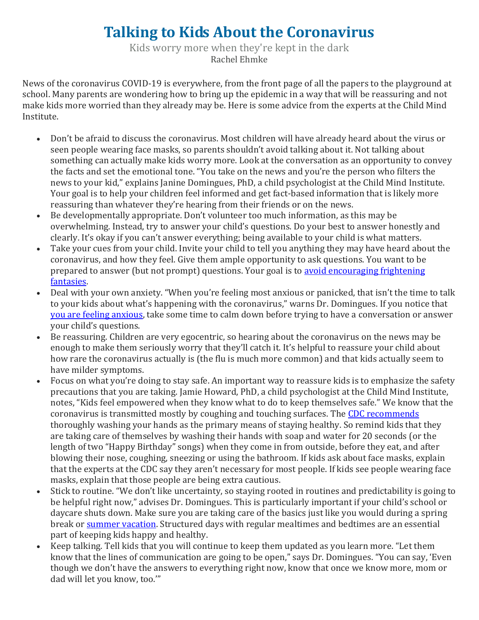## **Talking to Kids About the Coronavirus**

Kids worry more when they're kept in the dark Rachel Ehmke

News of the coronavirus COVID-19 is everywhere, from the front page of all the papers to the playground at school. Many parents are wondering how to bring up the epidemic in a way that will be reassuring and not make kids more worried than they already may be. Here is some advice from the experts at the Child Mind Institute.

- Don't be afraid to discuss the coronavirus. Most children will have already heard about the virus or seen people wearing face masks, so parents shouldn't avoid talking about it. Not talking about something can actually make kids worry more. Look at the conversation as an opportunity to convey the facts and set the emotional tone. "You take on the news and you're the person who filters the news to your kid," explains Janine Domingues, PhD, a child psychologist at the Child Mind Institute. Your goal is to help your children feel informed and get fact-based information that is likely more reassuring than whatever they're hearing from their friends or on the news.
- Be developmentally appropriate. Don't volunteer too much information, as this may be overwhelming. Instead, try to answer your child's questions. Do your best to answer honestly and clearly. It's okay if you can't answer everything; being available to your child is what matters.
- Take your cues from your child. Invite your child to tell you anything they may have heard about the coronavirus, and how they feel. Give them ample opportunity to ask questions. You want to be prepared to answer (but not prompt) questions. Your goal is to [avoid encouraging frightening](https://childmind.org/article/what-to-do-and-not-do-when-children-are-anxious/)  [fantasies.](https://childmind.org/article/what-to-do-and-not-do-when-children-are-anxious/)
- Deal with your own anxiety. "When you're feeling most anxious or panicked, that isn't the time to talk to your kids about what's happening with the coronavirus," warns Dr. Domingues. If you notice that [you are feeling anxious,](https://childmind.org/article/how-to-avoid-passing-anxiety-on-to-your-kids/) take some time to calm down before trying to have a conversation or answer your child's questions.
- Be reassuring. Children are very egocentric, so hearing about the coronavirus on the news may be enough to make them seriously worry that they'll catch it. It's helpful to reassure your child about how rare the coronavirus actually is (the flu is much more common) and that kids actually seem to have milder symptoms.
- Focus on what you're doing to stay safe. An important way to reassure kids is to emphasize the safety precautions that you are taking. Jamie Howard, PhD, a child psychologist at the Child Mind Institute, notes, "Kids feel empowered when they know what to do to keep themselves safe." We know that the coronavirus is transmitted mostly by coughing and touching surfaces. The [CDC recommends](https://www.cdc.gov/coronavirus/2019-ncov/about/prevention-treatment.html) thoroughly washing your hands as the primary means of staying healthy. So remind kids that they are taking care of themselves by washing their hands with soap and water for 20 seconds (or the length of two "Happy Birthday" songs) when they come in from outside, before they eat, and after blowing their nose, coughing, sneezing or using the bathroom. If kids ask about face masks, explain that the experts at the CDC say they aren't necessary for most people. If kids see people wearing face masks, explain that those people are being extra cautious.
- Stick to routine. "We don't like uncertainty, so staying rooted in routines and predictability is going to be helpful right now," advises Dr. Domingues. This is particularly important if your child's school or daycare shuts down. Make sure you are taking care of the basics just like you would during a spring break or [summer vacation.](https://childmind.org/article/strategies-for-a-successful-summer-break/) Structured days with regular mealtimes and bedtimes are an essential part of keeping kids happy and healthy.
- Keep talking. Tell kids that you will continue to keep them updated as you learn more. "Let them know that the lines of communication are going to be open," says Dr. Domingues. "You can say, 'Even though we don't have the answers to everything right now, know that once we know more, mom or dad will let you know, too.'"